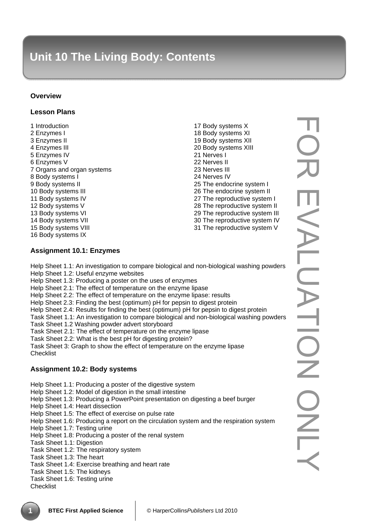### **Overview**

### **Lesson Plans**

1 Introduction 2 Enzymes I 3 Enzymes II 4 Enzymes III 5 Enzymes IV 6 Enzymes V 7 Organs and organ systems 8 Body systems I 9 Body systems II 10 Body systems III 11 Body systems IV 12 Body systems V 13 Body systems VI 14 Body systems VII 15 Body systems VIII 16 Body systems IX

17 Body systems X 18 Body systems XI 19 Body systems XII 20 Body systems XIII 21 Nerves I 22 Nerves II 23 Nerves III 24 Nerves IV 25 The endocrine system I 26 The endocrine system II 27 The reproductive system I 28 The reproductive system II 29 The reproductive system III 30 The reproductive system IV 31 The reproductive system V

# **Assignment 10.1: Enzymes**

Help Sheet 1.1: An investigation to compare biological and non-biological washing powders Help Sheet 1.2: Useful enzyme websites Help Sheet 1.3: Producing a poster on the uses of enzymes Help Sheet 2.1: The effect of temperature on the enzyme lipase Help Sheet 2.2: The effect of temperature on the enzyme lipase: results Help Sheet 2.3: Finding the best (optimum) pH for pepsin to digest protein Help Sheet 2.4: Results for finding the best (optimum) pH for pepsin to digest protein Task Sheet 1.1: An investigation to compare biological and non-biological washing powders Task Sheet 1.2 Washing powder advert storyboard Task Sheet 2.1: The effect of temperature on the enzyme lipase Task Sheet 2.2: What is the best pH for digesting protein? Task Sheet 3: Graph to show the effect of temperature on the enzyme lipase **Checklist** 

# **Assignment 10.2: Body systems**

Help Sheet 1.1: Producing a poster of the digestive system

Help Sheet 1.2: Model of digestion in the small intestine

Help Sheet 1.3: Producing a PowerPoint presentation on digesting a beef burger

- Help Sheet 1.4: Heart dissection
- Help Sheet 1.5: The effect of exercise on pulse rate
- Help Sheet 1.6: Producing a report on the circulation system and the respiration system
- Help Sheet 1.7: Testing urine
- Help Sheet 1.8: Producing a poster of the renal system
- Task Sheet 1.1: Digestion

Task Sheet 1.2: The respiratory system

- Task Sheet 1.3: The heart
- Task Sheet 1.4: Exercise breathing and heart rate
- Task Sheet 1.5: The kidneys

#### Task Sheet 1.6: Testing urine

**Checklist**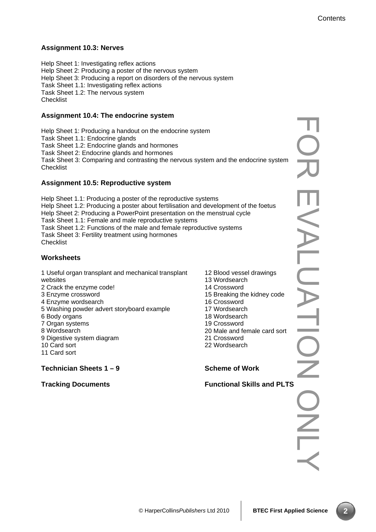# **Assignment 10.3: Nerves**

Help Sheet 1: Investigating reflex actions Help Sheet 2: Producing a poster of the nervous system Help Sheet 3: Producing a report on disorders of the nervous system Task Sheet 1.1: Investigating reflex actions Task Sheet 1.2: The nervous system **Checklist** 

# **Assignment 10.4: The endocrine system**

Help Sheet 1: Producing a handout on the endocrine system Task Sheet 1.1: Endocrine glands Task Sheet 1.2: Endocrine glands and hormones Task Sheet 2: Endocrine glands and hormones Task Sheet 3: Comparing and contrasting the nervous system and the endocrine system **Checklist** 

# **Assignment 10.5: Reproductive system**

Help Sheet 1.1: Producing a poster of the reproductive systems Help Sheet 1.2: Producing a poster about fertilisation and development of the foetus Help Sheet 2: Producing a PowerPoint presentation on the menstrual cycle Task Sheet 1.1: Female and male reproductive systems Task Sheet 1.2: Functions of the male and female reproductive systems Task Sheet 3: Fertility treatment using hormones **Checklist** 

# **Worksheets**

1 Useful organ transplant and mechanical transplant websites

- 2 Crack the enzyme code!
- 3 Enzyme crossword
- 4 Enzyme wordsearch
- 5 Washing powder advert storyboard example
- 6 Body organs
- 7 Organ systems
- 8 Wordsearch
- 9 Digestive system diagram
- 10 Card sort
- 11 Card sort

# **Technician Sheets 1 – 9**

#### **Tracking Documents**

- 12 Blood vessel drawings 13 Wordsearch 14 Crossword 15 Breaking the kidney code 16 Crossword 17 Wordsearch 18 Wordsearch 19 Crossword 20 Male and female card sort
- 21 Crossword
- 22 Wordsearch

#### **Scheme of Work**

FOR EVALUATION ONLY  $\overline{\phantom{0}}$ EVALUATI  $\overline{\text{O}}$ Functional Skills and PLTS<br> **All School School**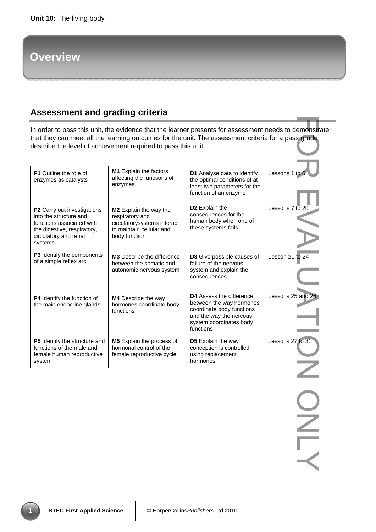# **Overview**

# **Assessment and grading criteria**

| In order to pass this unit, the evidence that the learner presents for assessment needs to demonstrate<br>that they can meet all the learning outcomes for the unit. The assessment criteria for a pass grade<br>describe the level of achievement required to pass this unit. |                                                                                                                       |                                                                                                                                                      |                   |  |
|--------------------------------------------------------------------------------------------------------------------------------------------------------------------------------------------------------------------------------------------------------------------------------|-----------------------------------------------------------------------------------------------------------------------|------------------------------------------------------------------------------------------------------------------------------------------------------|-------------------|--|
| <b>P1</b> Outline the role of<br>enzymes as catalysts                                                                                                                                                                                                                          | M1 Explain the factors<br>affecting the functions of<br>enzymes                                                       | D1 Analyse data to identify<br>the optimal conditions of at<br>least two parameters for the<br>function of an enzyme                                 | Lessons 1 to 6    |  |
| P2 Carry out investigations<br>into the structure and<br>functions associated with<br>the digestive, respiratory,<br>circulatory and renal<br>systems                                                                                                                          | M2 Explain the way the<br>respiratory and<br>circulatorysystems interact<br>to maintain cellular and<br>body function | D <sub>2</sub> Explain the<br>consequences for the<br>human body when one of<br>these systems fails                                                  | Lessons 7 to 20   |  |
| P3 Identify the components<br>of a simple reflex arc                                                                                                                                                                                                                           | <b>M3</b> Describe the difference<br>between the somatic and<br>autonomic nervous system                              | <b>D3</b> Give possible causes of<br>failure of the nervous<br>system and explain the<br>consequences                                                | Lesson 21 to 24   |  |
| P4 Identify the function of<br>the main endocrine glands                                                                                                                                                                                                                       | M4 Describe the way<br>hormones coordinate body<br>functions                                                          | D4 Assess the difference<br>between the way hormones<br>coordinate body functions<br>and the way the nervous<br>system coordinates body<br>functions | Lessons 25 and 26 |  |
| <b>P5</b> Identify the structure and<br>functions of the male and<br>female human reproductive<br>system                                                                                                                                                                       | <b>M5</b> Explain the process of<br>hormonal control of the<br>female reproductive cycle                              | D5 Explain the way<br>conception is controlled<br>using replacement<br>hormones                                                                      | Lessons 27 to 31  |  |
|                                                                                                                                                                                                                                                                                |                                                                                                                       |                                                                                                                                                      |                   |  |
|                                                                                                                                                                                                                                                                                |                                                                                                                       |                                                                                                                                                      |                   |  |
|                                                                                                                                                                                                                                                                                |                                                                                                                       |                                                                                                                                                      |                   |  |
|                                                                                                                                                                                                                                                                                |                                                                                                                       |                                                                                                                                                      |                   |  |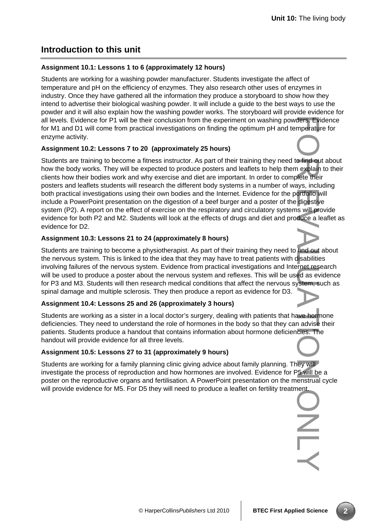# **Introduction to this unit**

#### **Assignment 10.1: Lessons 1 to 6 (approximately 12 hours)**

Students are working for a washing powder manufacturer. Students investigate the affect of temperature and pH on the efficiency of enzymes. They also research other uses of enzymes in industry. Once they have gathered all the information they produce a storyboard to show how they intend to advertise their biological washing powder. It will include a guide to the best ways to use the powder and it will also explain how the washing powder works. The storyboard will provide evidence for all levels. Evidence for P1 will be their conclusion from the experiment on washing powders. Evidence for M1 and D1 will come from practical investigations on finding the optimum pH and temperature for enzyme activity.

#### **Assignment 10.2: Lessons 7 to 20 (approximately 25 hours)**

Students are training to become a fitness instructor. As part of their training they need to find out about how the body works. They will be expected to produce posters and leaflets to help them explain to their clients how their bodies work and why exercise and diet are important. In order to complete their posters and leaflets students will research the different body systems in a number of ways, including both practical investigations using their own bodies and the Internet. Evidence for the portfolio will include a PowerPoint presentation on the digestion of a beef burger and a poster of the digestive system (P2). A report on the effect of exercise on the respiratory and circulatory systems will provide evidence for both P2 and M2. Students will look at the effects of drugs and diet and produce a leaflet as evidence for D2.

#### **Assignment 10.3: Lessons 21 to 24 (approximately 8 hours)**

Students are training to become a physiotherapist. As part of their training they need to find out about the nervous system. This is linked to the idea that they may have to treat patients with disabilities involving failures of the nervous system. Evidence from practical investigations and Internet research will be used to produce a poster about the nervous system and reflexes. This will be used as evidence for P3 and M3. Students will then research medical conditions that affect the nervous system, such as spinal damage and multiple sclerosis. They then produce a report as evidence for D3.

#### **Assignment 10.4: Lessons 25 and 26 (approximately 3 hours)**

Students are working as a sister in a local doctor's surgery, dealing with patients that have hormone deficiencies. They need to understand the role of hormones in the body so that they can advise their patients. Students produce a handout that contains information about hormone deficiencies. The handout will provide evidence for all three levels.

# **Assignment 10.5: Lessons 27 to 31 (approximately 9 hours)**

Students are working for a family planning clinic giving advice about family planning. They will investigate the process of reproduction and how hormones are involved. Evidence for P5 will be a poster on the reproductive organs and fertilisation. A PowerPoint presentation on the menstrual cycle will provide evidence for M5. For D5 they will need to produce a leaflet on fertility treatment.

For Experience of the Second Control of the Unit of the Unit of the Unit of the Unit of the Unit of the Unit of the Unit of the Unit of the Unit of the Unit of the Unit of the Unit of the Unit of the Unit of the Unit of th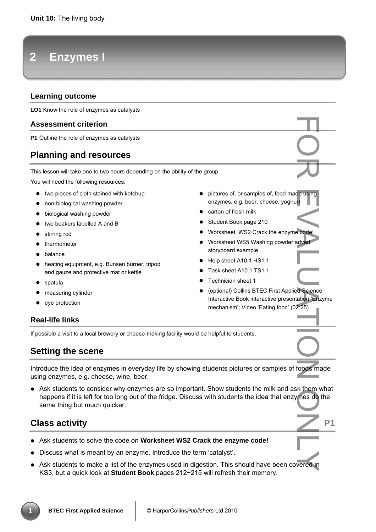# **2 Enzymes I**

# **Learning outcome**

**LO1** Know the role of enzymes as catalysts

#### **Assessment criterion**

**P1** Outline the role of enzymes as catalysts

# **Planning and resources**

This lesson will take one to two hours depending on the ability of the group.

You will need the following resources:

- two pieces of cloth stained with ketchup
- non-biological washing powder
- biological washing powder
- two beakers labelled A and B
- stirring rod
- thermometer
- balance
- heating equipment, e.g. Bunsen burner, tripod and gauze and protective mat or kettle
- spatula
- measuring cylinder
- eve protection
- pictures of, or samples of, food made using enzymes, e.g. beer, cheese, yoghurt
- carton of fresh milk
- Student Book page 210
- Worksheet WS2 Crack the enzyme code!
- Worksheet WS5 Washing powder advert storyboard example
- Help sheet A10.1 HS1.1
- Task sheet A10.1 TS1.1
- Technician sheet 1
- (optional) Collins BTEC First Applied Science Interactive Book interactive presentation 'Enzyme mechanism'; Video 'Eating food' (02:25)

# **Real-life links**

If possible a visit to a local brewery or cheese-making facility would be helpful to students.

# **Setting the scene**

Introduce the idea of enzymes in everyday life by showing students pictures or samples of foods made using enzymes, e.g. cheese, wine, beer.

• Ask students to consider why enzymes are so important. Show students the milk and ask them what happens if it is left for too long out of the fridge. Discuss with students the idea that enzymes do the same thing but much quicker. For the using<br>
For the using<br>
For the divertical Code<br>
Residence of the mes do<br>
Residence in

# **Class activity** P1

- Ask students to solve the code on **Worksheet WS2 Crack the enzyme code!**
- Discuss what is meant by an enzyme. Introduce the term 'catalyst'.
- Ask students to make a list of the enzymes used in digestion. This should have been covered in KS3, but a quick look at **Student Book** pages 212−215 will refresh their memory.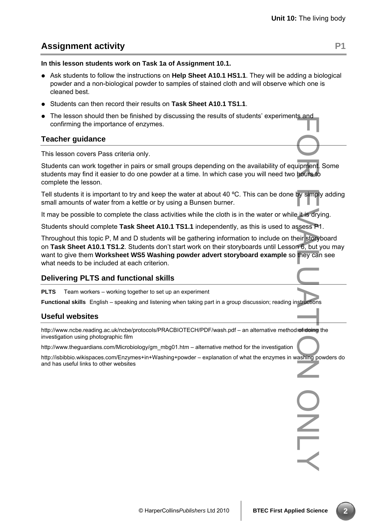PNU

# **Assignment activity** P1

**In this lesson students work on Task 1a of Assignment 10.1.** 

- Ask students to follow the instructions on **Help Sheet A10.1 HS1.1**. They will be adding a biological powder and a non-biological powder to samples of stained cloth and will observe which one is cleaned best.
- Students can then record their results on **Task Sheet A10.1 TS1.1**.
- The lesson should then be finished by discussing the results of students' experiments and confirming the importance of enzymes.

# **Teacher guidance**

This lesson covers Pass criteria only.

Students can work together in pairs or small groups depending on the availability of equipment. Some students may find it easier to do one powder at a time. In which case you will need two hours to complete the lesson.

Tell students it is important to try and keep the water at about 40 °C. This can be done by simply adding small amounts of water from a kettle or by using a Bunsen burner.

It may be possible to complete the class activities while the cloth is in the water or while it is drying.

Students should complete **Task Sheet A10.1 TS1.1** independently, as this is used to assess P1.

Throughout this topic P, M and D students will be gathering information to include on their storyboard on **Task Sheet A10.1 TS1.2**. Students don't start work on their storyboards until Lesson 6, but you may want to give them **Worksheet WS5 Washing powder advert storyboard example** so they can see what needs to be included at each criterion. For thours to by simplement.<br>
For the sess Precipe of doing<br>
Start of doing<br>
Start of doing<br>
Start of doing

# **Delivering PLTS and functional skills**

**PLTS** Team workers – working together to set up an experiment

**Functional skills** English – speaking and listening when taking part in a group discussion; reading instructions

#### **Useful websites**

http://www.ncbe.reading.ac.uk/ncbe/protocols/PRACBIOTECH/PDF/wash.pdf – an alternative method of doing the investigation using photographic film

http://www.theguardians.com/Microbiology/gm\_mbg01.htm – alternative method for the investigation

http://isbibbio.wikispaces.com/Enzymes+in+Washing+powder – explanation of what the enzymes in washing powders do and has useful links to other websites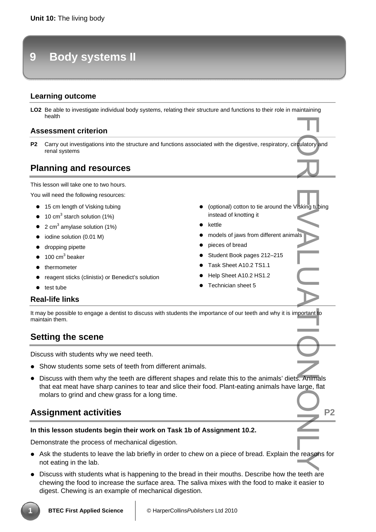# **9 Body systems II**

# **Learning outcome**

LO2 Be able to investigate individual body systems, relating their structure and functions to their role in maintaining health

#### **Assessment criterion**

P2 Carry out investigations into the structure and functions associated with the digestive, respiratory, circulatory and renal systems

# **Planning and resources**

This lesson will take one to two hours.

You will need the following resources:

- 15 cm length of Visking tubing
- $\bullet$  10 cm<sup>3</sup> starch solution (1%)
- $\bullet$  2 cm<sup>3</sup> amylase solution (1%)
- iodine solution (0.01 M)
- dropping pipette
- $\bullet$  100 cm<sup>3</sup> beaker
- thermometer
- reagent sticks (clinistix) or Benedict's solution
- test tube

#### **Real-life links**

It may be possible to engage a dentist to discuss with students the importance of our teeth and why it is important to maintain them.

# **Setting the scene**

Discuss with students why we need teeth.

- Show students some sets of teeth from different animals.
- Discuss with them why the teeth are different shapes and relate this to the animals' diets. Animals that eat meat have sharp canines to tear and slice their food. Plant-eating animals have large, flat molars to grind and chew grass for a long time. FOR EVALUATION CONTROL IN THE RESERVED ON THE POST OF RESERVED ON THE POST OF RESERVED ON THE POST OF RESERVED ONLY.

# **Assignment activities Assignment activities** P2

#### **In this lesson students begin their work on Task 1b of Assignment 10.2.**

Demonstrate the process of mechanical digestion.

- Ask the students to leave the lab briefly in order to chew on a piece of bread. Explain the reasons for not eating in the lab.
- Discuss with students what is happening to the bread in their mouths. Describe how the teeth are chewing the food to increase the surface area. The saliva mixes with the food to make it easier to digest. Chewing is an example of mechanical digestion.
- kettle
- models of jaws from different animals

• (optional) cotton to tie around the Visking tubing

- pieces of bread
- Student Book pages 212–215
- Task Sheet A10.2 TS1.1

instead of knotting it

- Help Sheet A10.2 HS1.2
- Technician sheet 5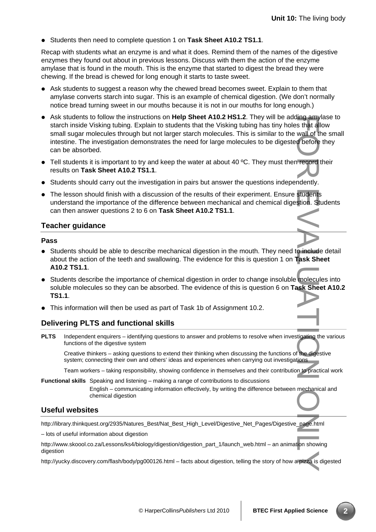• Students then need to complete question 1 on **Task Sheet A10.2 TS1.1**.

Recap with students what an enzyme is and what it does. Remind them of the names of the digestive enzymes they found out about in previous lessons. Discuss with them the action of the enzyme amylase that is found in the mouth. This is the enzyme that started to digest the bread they were chewing. If the bread is chewed for long enough it starts to taste sweet.

- Ask students to suggest a reason why the chewed bread becomes sweet. Explain to them that amylase converts starch into sugar. This is an example of chemical digestion. (We don't normally notice bread turning sweet in our mouths because it is not in our mouths for long enough.)
- Ask students to follow the instructions on **Help Sheet A10.2 HS1.2**. They will be adding amylase to starch inside Visking tubing. Explain to students that the Visking tubing has tiny holes that allow small sugar molecules through but not larger starch molecules. This is similar to the wall of the small intestine. The investigation demonstrates the need for large molecules to be digested before they can be absorbed. For the dignality and the dignality start and of the force order and the dignality.<br>The correct of the dignality students stion. Start and the dignality and the dignality of the dignality of the dignality of the dignality
- Tell students it is important to try and keep the water at about 40 °C. They must then record their results on **Task Sheet A10.2 TS1.1**.
- Students should carry out the investigation in pairs but answer the questions independently.
- The lesson should finish with a discussion of the results of their experiment. Ensure students understand the importance of the difference between mechanical and chemical digestion. Students can then answer questions 2 to 6 on **Task Sheet A10.2 TS1.1**.

# **Teacher guidance**

#### **Pass**

- Students should be able to describe mechanical digestion in the mouth. They need to include detail about the action of the teeth and swallowing. The evidence for this is question 1 on **Task Sheet A10.2 TS1.1**.
- Students describe the importance of chemical digestion in order to change insoluble molecules into soluble molecules so they can be absorbed. The evidence of this is question 6 on **Task Sheet A10.2 TS1.1**.
- This information will then be used as part of Task 1b of Assignment 10.2.

# **Delivering PLTS and functional skills**

**PLTS** Independent enquirers – identifying questions to answer and problems to resolve when investigating the various functions of the digestive system

Creative thinkers – asking questions to extend their thinking when discussing the functions of the digestive system; connecting their own and others' ideas and experiences when carrying out investigations

Team workers – taking responsibility, showing confidence in themselves and their contribution to practical work

**Functional skills** Speaking and listening – making a range of contributions to discussions

English – communicating information effectively, by writing the difference between mechanical and chemical digestion

# **Useful websites**

http://library.thinkquest.org/2935/Natures\_Best/Nat\_Best\_High\_Level/Digestive\_Net\_Pages/Digestive\_page.html

– lots of useful information about digestion

http://www.skoool.co.za/Lessons/ks4/biology/digestion/digestion\_part\_1/launch\_web.html – an animation showing digestion

http://yucky.discovery.com/flash/body/pg000126.html – facts about digestion, telling the story of how a pizza is digested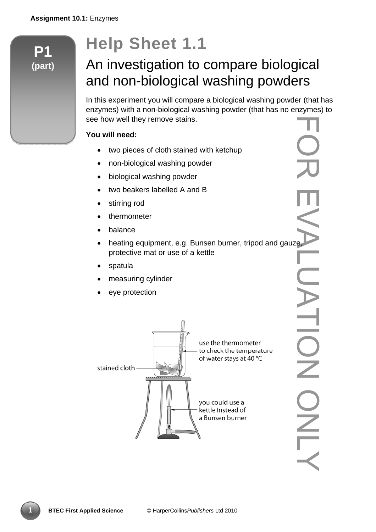**P1** 

**(part)** 

# **Help Sheet 1.1**

# An investigation to compare biological and non-biological washing powders

In this experiment you will compare a biological washing powder (that has enzymes) with a non-biological washing powder (that has no enzymes) to see how well they remove stains.

# **You will need:**

- two pieces of cloth stained with ketchup
- non-biological washing powder
- biological washing powder
- two beakers labelled A and B
- stirring rod
- thermometer
- balance
- heating equipment, e.g. Bunsen burner, tripod and gauze, protective mat or use of a kettle FOR EVALUATION ONLY
- spatula
- measuring cylinder
- eye protection



JATION ONLA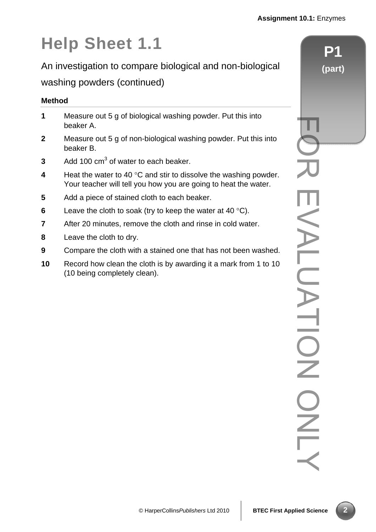# **Help Sheet 1.1**

An investigation to compare biological and non-biological

# washing powders (continued)

# **Method**

| 1              | Measure out 5 g of biological washing powder. Put this into<br>beaker A.                                                                     |  |
|----------------|----------------------------------------------------------------------------------------------------------------------------------------------|--|
| $\mathbf{2}$   | Measure out 5 g of non-biological washing powder. Put this into<br>beaker B.                                                                 |  |
| 3              | Add 100 cm <sup>3</sup> of water to each beaker.                                                                                             |  |
| 4              | Heat the water to 40 $\degree$ C and stir to dissolve the washing powder.<br>Your teacher will tell you how you are going to heat the water. |  |
| 5              | Add a piece of stained cloth to each beaker.                                                                                                 |  |
| 6              | Leave the cloth to soak (try to keep the water at 40 $^{\circ}$ C).                                                                          |  |
| $\overline{7}$ | After 20 minutes, remove the cloth and rinse in cold water.                                                                                  |  |
| 8              | Leave the cloth to dry.                                                                                                                      |  |
| 9              | Compare the cloth with a stained one that has not been washed.                                                                               |  |
|                |                                                                                                                                              |  |

**10** Record how clean the cloth is by awarding it a mark from 1 to 10 (10 being completely clean).